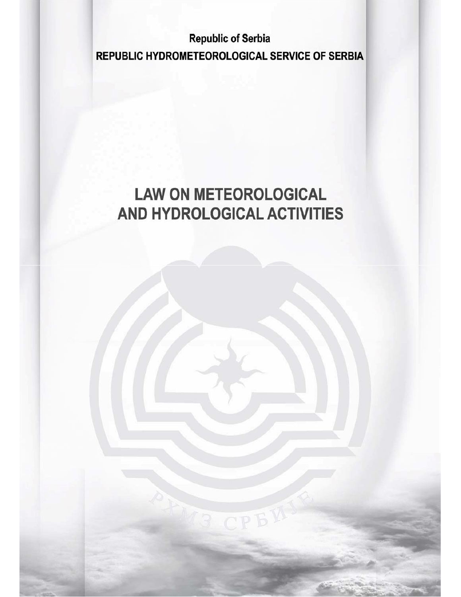**Republic of Serbia** REPUBLIC HYDROMETEOROLOGICAL SERVICE OF SERBIA

# **LAW ON METEOROLOGICAL** AND HYDROLOGICAL ACTIVITIES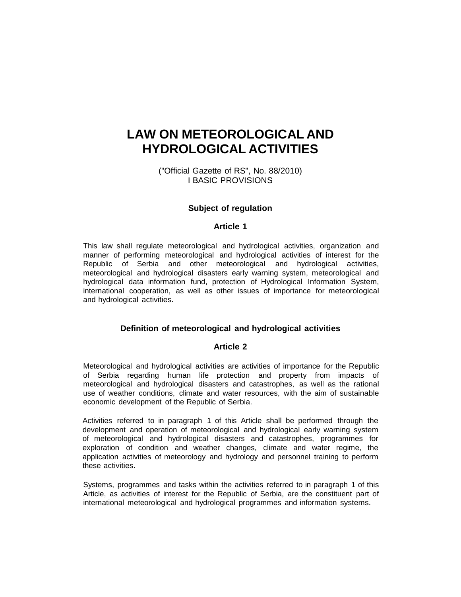# **LAW ON METEOROLOGICAL AND HYDROLOGICAL ACTIVITIES**

("Official Gazette of RS", No. 88/2010) I BASIC PROVISIONS

# **Subject of regulation**

# **Article 1**

This law shall regulate meteorological and hydrological activities, organization and manner of performing meteorological and hydrological activities of interest for the Republic of Serbia and other meteorological and hydrological activities, meteorological and hydrological disasters early warning system, meteorological and hydrological data information fund, protection of Hydrological Information System, international cooperation, as well as other issues of importance for meteorological and hydrological activities.

# **Definition of meteorological and hydrological activities**

#### **Article 2**

Meteorological and hydrological activities are activities of importance for the Republic of Serbia regarding human life protection and property from impacts of meteorological and hydrological disasters and catastrophes, as well as the rational use of weather conditions, climate and water resources, with the aim of sustainable economic development of the Republic of Serbia.

Activities referred to in paragraph 1 of this Article shall be performed through the development and operation of meteorological and hydrological early warning system of meteorological and hydrological disasters and catastrophes, programmes for exploration of condition and weather changes, climate and water regime, the application activities of meteorology and hydrology and personnel training to perform these activities.

Systems, programmes and tasks within the activities referred to in paragraph 1 of this Article, as activities of interest for the Republic of Serbia, are the constituent part of international meteorological and hydrological programmes and information systems.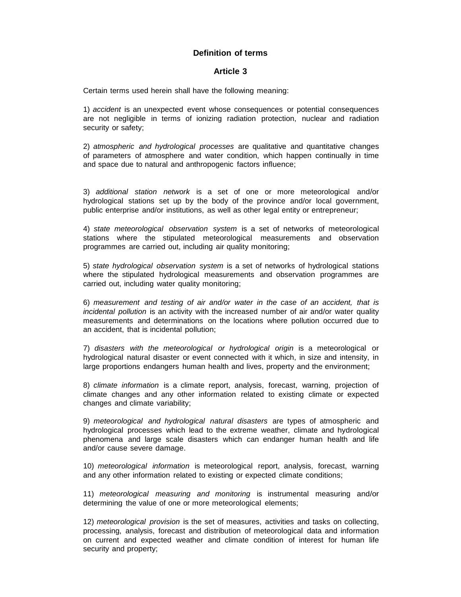# **Definition of terms**

#### **Article 3**

Certain terms used herein shall have the following meaning:

1) *accident* is an unexpected event whose consequences or potential consequences are not negligible in terms of ionizing radiation protection, nuclear and radiation security or safety;

2) *atmospheric and hydrological processes* are qualitative and quantitative changes of parameters of atmosphere and water condition, which happen continually in time and space due to natural and anthropogenic factors influence;

3) *additional station network* is a set of one or more meteorological and/or hydrological stations set up by the body of the province and/or local government, public enterprise and/or institutions, as well as other legal entity or entrepreneur;

4) *state meteorological observation system* is a set of networks of meteorological stations where the stipulated meteorological measurements and observation programmes are carried out, including air quality monitoring;

5) *state hydrological observation system* is a set of networks of hydrological stations where the stipulated hydrological measurements and observation programmes are carried out, including water quality monitoring;

6) *measurement and testing of air and/or water in the case of an accident, that is incidental pollution* is an activity with the increased number of air and/or water quality measurements and determinations on the locations where pollution occurred due to an accident, that is incidental pollution;

7) *disasters with the meteorological or hydrological origin* is a meteorological or hydrological natural disaster or event connected with it which, in size and intensity, in large proportions endangers human health and lives, property and the environment;

8) *climate information* is a climate report, analysis, forecast, warning, projection of climate changes and any other information related to existing climate or expected changes and climate variability;

9) *meteorological and hydrological natural disasters* are types of atmospheric and hydrological processes which lead to the extreme weather, climate and hydrological phenomena and large scale disasters which can endanger human health and life and/or cause severe damage.

10) *meteorological information* is meteorological report, analysis, forecast, warning and any other information related to existing or expected climate conditions;

11) *meteorological measuring and monitoring* is instrumental measuring and/or determining the value of one or more meteorological elements;

12) *meteorological provision* is the set of measures, activities and tasks on collecting, processing, analysis, forecast and distribution of meteorological data and information on current and expected weather and climate condition of interest for human life security and property;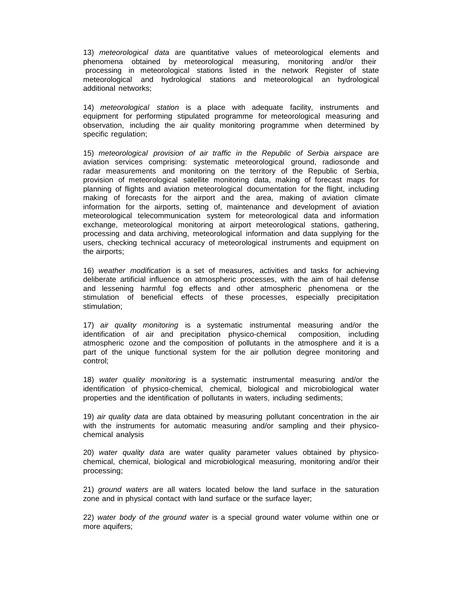13) *meteorological data* are quantitative values of meteorological elements and phenomena obtained by meteorological measuring, monitoring and/or their processing in meteorological stations listed in the network Register of state meteorological and hydrological stations and meteorological an hydrological additional networks;

14) *meteorological station* is a place with adequate facility, instruments and equipment for performing stipulated programme for meteorological measuring and observation, including the air quality monitoring programme when determined by specific regulation;

15) *meteorological provision of air traffic in the Republic of Serbia airspace* are aviation services comprising: systematic meteorological ground, radiosonde and radar measurements and monitoring on the territory of the Republic of Serbia, provision of meteorological satellite monitoring data, making of forecast maps for planning of flights and aviation meteorological documentation for the flight, including making of forecasts for the airport and the area, making of aviation climate information for the airports, setting of, maintenance and development of aviation meteorological telecommunication system for meteorological data and information exchange, meteorological monitoring at airport meteorological stations, gathering, processing and data archiving, meteorological information and data supplying for the users, checking technical accuracy of meteorological instruments and equipment on the airports;

16) *weather modification* is a set of measures, activities and tasks for achieving deliberate artificial influence on atmospheric processes, with the aim of hail defense and lessening harmful fog effects and other atmospheric phenomena or the stimulation of beneficial effects of these processes, especially precipitation stimulation;

17) *air quality monitoring* is a systematic instrumental measuring and/or the identification of air and precipitation physico-chemical composition, including atmospheric ozone and the composition of pollutants in the atmosphere and it is a part of the unique functional system for the air pollution degree monitoring and control;

18) *water quality monitoring* is a systematic instrumental measuring and/or the identification of physico-chemical, chemical, biological and microbiological water properties and the identification of pollutants in waters, including sediments;

19) *air quality data* are data obtained by measuring pollutant concentration in the air with the instruments for automatic measuring and/or sampling and their physicochemical analysis

20) *water quality data* are water quality parameter values obtained by physicochemical, chemical, biological and microbiological measuring, monitoring and/or their processing;

21) *ground waters* are all waters located below the land surface in the saturation zone and in physical contact with land surface or the surface layer;

22) *water body of the ground water* is a special ground water volume within one or more aquifers;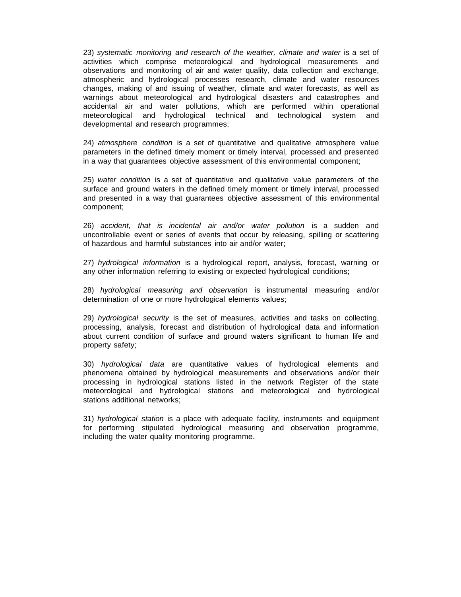23) *systematic monitoring and research of the weather, climate and water* is a set of activities which comprise meteorological and hydrological measurements and observations and monitoring of air and water quality, data collection and exchange, atmospheric and hydrological processes research, climate and water resources changes, making of and issuing of weather, climate and water forecasts, as well as warnings about meteorological and hydrological disasters and catastrophes and accidental air and water pollutions, which are performed within operational meteorological and hydrological technical and technological system and developmental and research programmes;

24) *atmosphere condition* is a set of quantitative and qualitative atmosphere value parameters in the defined timely moment or timely interval, processed and presented in a way that guarantees objective assessment of this environmental component;

25) *water condition* is a set of quantitative and qualitative value parameters of the surface and ground waters in the defined timely moment or timely interval, processed and presented in a way that guarantees objective assessment of this environmental component;

26) *accident, that is incidental air and/or water pollution* is a sudden and uncontrollable event or series of events that occur by releasing, spilling or scattering of hazardous and harmful substances into air and/or water;

27) *hydrological information* is a hydrological report, analysis, forecast, warning or any other information referring to existing or expected hydrological conditions;

28) *hydrological measuring and observation* is instrumental measuring and/or determination of one or more hydrological elements values;

29) *hydrological security* is the set of measures, activities and tasks on collecting, processing, analysis, forecast and distribution of hydrological data and information about current condition of surface and ground waters significant to human life and property safety;

30) *hydrological data* are quantitative values of hydrological elements and phenomena obtained by hydrological measurements and observations and/or their processing in hydrological stations listed in the network Register of the state meteorological and hydrological stations and meteorological and hydrological stations additional networks;

31) *hydrological station* is a place with adequate facility, instruments and equipment for performing stipulated hydrological measuring and observation programme, including the water quality monitoring programme.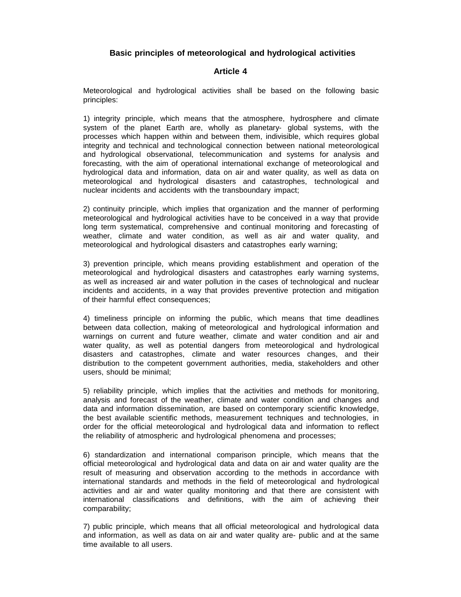# **Basic principles of meteorological and hydrological activities**

# **Article 4**

Meteorological and hydrological activities shall be based on the following basic principles:

1) integrity principle, which means that the atmosphere, hydrosphere and climate system of the planet Earth are, wholly as planetary- global systems, with the processes which happen within and between them, indivisible, which requires global integrity and technical and technological connection between national meteorological and hydrological observational, telecommunication and systems for analysis and forecasting, with the aim of operational international exchange of meteorological and hydrological data and information, data on air and water quality, as well as data on meteorological and hydrological disasters and catastrophes, technological and nuclear incidents and accidents with the transboundary impact;

2) continuity principle, which implies that organization and the manner of performing meteorological and hydrological activities have to be conceived in a way that provide long term systematical, comprehensive and continual monitoring and forecasting of weather, climate and water condition, as well as air and water quality, and meteorological and hydrological disasters and catastrophes early warning;

3) prevention principle, which means providing establishment and operation of the meteorological and hydrological disasters and catastrophes early warning systems, as well as increased air and water pollution in the cases of technological and nuclear incidents and accidents, in a way that provides preventive protection and mitigation of their harmful effect consequences;

4) timeliness principle on informing the public, which means that time deadlines between data collection, making of meteorological and hydrological information and warnings on current and future weather, climate and water condition and air and water quality, as well as potential dangers from meteorological and hydrological disasters and catastrophes, climate and water resources changes, and their distribution to the competent government authorities, media, stakeholders and other users, should be minimal;

5) reliability principle, which implies that the activities and methods for monitoring, analysis and forecast of the weather, climate and water condition and changes and data and information dissemination, are based on contemporary scientific knowledge, the best available scientific methods, measurement techniques and technologies, in order for the official meteorological and hydrological data and information to reflect the reliability of atmospheric and hydrological phenomena and processes;

6) standardization and international comparison principle, which means that the official meteorological and hydrological data and data on air and water quality are the result of measuring and observation according to the methods in accordance with international standards and methods in the field of meteorological and hydrological activities and air and water quality monitoring and that there are consistent with international classifications and definitions, with the aim of achieving their comparability;

7) public principle, which means that all official meteorological and hydrological data and information, as well as data on air and water quality are- public and at the same time available to all users.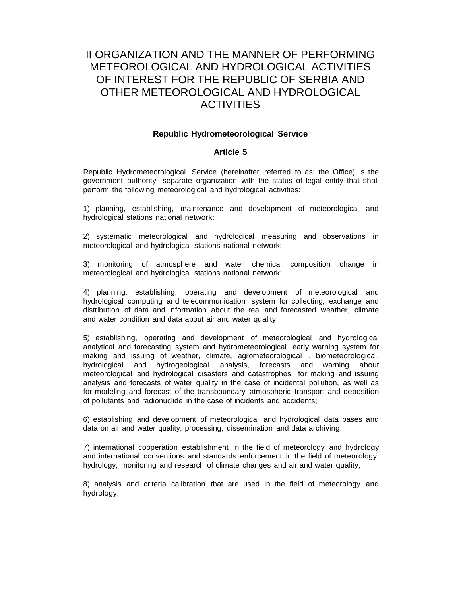# II ORGANIZATION AND THE MANNER OF PERFORMING METEOROLOGICAL AND HYDROLOGICAL ACTIVITIES OF INTEREST FOR THE REPUBLIC OF SERBIA AND OTHER METEOROLOGICAL AND HYDROLOGICAL ACTIVITIES

# **Republic Hydrometeorological Service**

# **Article 5**

Republic Hydrometeorological Service (hereinafter referred to as: the Office) is the government authority- separate organization with the status of legal entity that shall perform the following meteorological and hydrological activities:

1) planning, establishing, maintenance and development of meteorological and hydrological stations national network;

2) systematic meteorological and hydrological measuring and observations in meteorological and hydrological stations national network;

3) monitoring of atmosphere and water chemical composition change in meteorological and hydrological stations national network;

4) planning, establishing, operating and development of meteorological and hydrological computing and telecommunication system for collecting, exchange and distribution of data and information about the real and forecasted weather, climate and water condition and data about air and water quality;

5) establishing, operating and development of meteorological and hydrological analytical and forecasting system and hydrometeorological early warning system for making and issuing of weather, climate, agrometeorological , biometeorological, hydrological and hydrogeological analysis, forecasts and warning about meteorological and hydrological disasters and catastrophes, for making and issuing analysis and forecasts of water quality in the case of incidental pollution, as well as for modeling and forecast of the transboundary atmospheric transport and deposition of pollutants and radionuclide in the case of incidents and accidents;

6) establishing and development of meteorological and hydrological data bases and data on air and water quality, processing, dissemination and data archiving;

7) international cooperation establishment in the field of meteorology and hydrology and international conventions and standards enforcement in the field of meteorology, hydrology, monitoring and research of climate changes and air and water quality;

8) analysis and criteria calibration that are used in the field of meteorology and hydrology;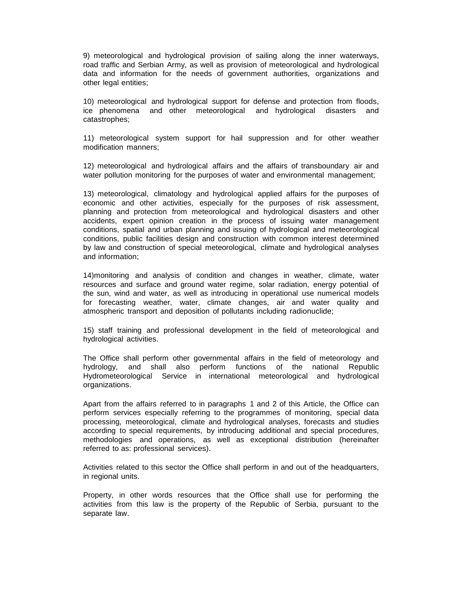9) meteorological and hydrological provision of sailing along the inner waterways, road traffic and Serbian Army, as well as provision of meteorological and hydrological data and information for the needs of government authorities, organizations and other legal entities;

10) meteorological and hydrological support for defense and protection from floods, ice phenomena and other meteorological and hydrological disasters and catastrophes;

11) meteorological system support for hail suppression and for other weather modification manners;

12) meteorological and hydrological affairs and the affairs of transboundary air and water pollution monitoring for the purposes of water and environmental management;

13) meteorological, climatology and hydrological applied affairs for the purposes of economic and other activities, especially for the purposes of risk assessment, planning and protection from meteorological and hydrological disasters and other accidents, expert opinion creation in the process of issuing water management conditions, spatial and urban planning and issuing of hydrological and meteorological conditions, public facilities design and construction with common interest determined by law and construction of special meteorological, climate and hydrological analyses and information;

14)monitoring and analysis of condition and changes in weather, climate, water resources and surface and ground water regime, solar radiation, energy potential of the sun, wind and water, as well as introducing in operational use numerical models for forecasting weather, water, climate changes, air and water quality and atmospheric transport and deposition of pollutants including radionuclide;

15) staff training and professional development in the field of meteorological and hydrological activities.

The Office shall perform other governmental affairs in the field of meteorology and hydrology, and shall also perform functions of the national Republic Hydrometeorological Service in international meteorological and hydrological organizations.

Apart from the affairs referred to in paragraphs 1 and 2 of this Article, the Office can perform services especially referring to the programmes of monitoring, special data processing, meteorological, climate and hydrological analyses, forecasts and studies according to special requirements, by introducing additional and special procedures, methodologies and operations, as well as exceptional distribution (hereinafter referred to as: professional services).

Activities related to this sector the Office shall perform in and out of the headquarters, in regional units.

Property, in other words resources that the Office shall use for performing the activities from this law is the property of the Republic of Serbia, pursuant to the separate law.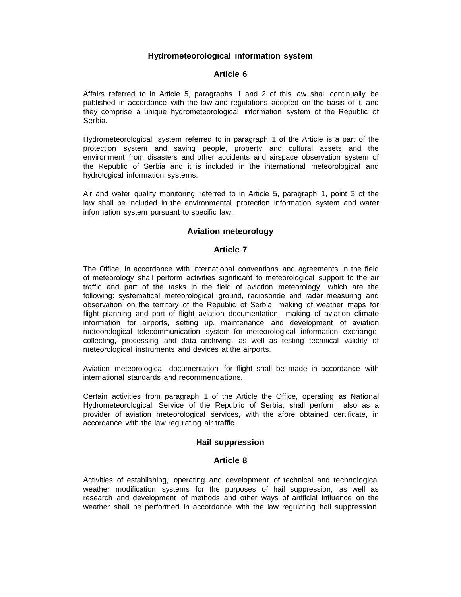# **Hydrometeorological information system**

# **Article 6**

Affairs referred to in Article 5, paragraphs 1 and 2 of this law shall continually be published in accordance with the law and regulations adopted on the basis of it, and they comprise a unique hydrometeorological information system of the Republic of Serbia.

Hydrometeorological system referred to in paragraph 1 of the Article is a part of the protection system and saving people, property and cultural assets and the environment from disasters and other accidents and airspace observation system of the Republic of Serbia and it is included in the international meteorological and hydrological information systems.

Air and water quality monitoring referred to in Article 5, paragraph 1, point 3 of the law shall be included in the environmental protection information system and water information system pursuant to specific law.

# **Aviation meteorology**

# **Article 7**

The Office, in accordance with international conventions and agreements in the field of meteorology shall perform activities significant to meteorological support to the air traffic and part of the tasks in the field of aviation meteorology, which are the following: systematical meteorological ground, radiosonde and radar measuring and observation on the territory of the Republic of Serbia, making of weather maps for flight planning and part of flight aviation documentation, making of aviation climate information for airports, setting up, maintenance and development of aviation meteorological telecommunication system for meteorological information exchange, collecting, processing and data archiving, as well as testing technical validity of meteorological instruments and devices at the airports.

Aviation meteorological documentation for flight shall be made in accordance with international standards and recommendations.

Certain activities from paragraph 1 of the Article the Office, operating as National Hydrometeorological Service of the Republic of Serbia, shall perform, also as a provider of aviation meteorological services, with the afore obtained certificate, in accordance with the law regulating air traffic.

#### **Hail suppression**

#### **Article 8**

Activities of establishing, operating and development of technical and technological weather modification systems for the purposes of hail suppression, as well as research and development of methods and other ways of artificial influence on the weather shall be performed in accordance with the law regulating hail suppression.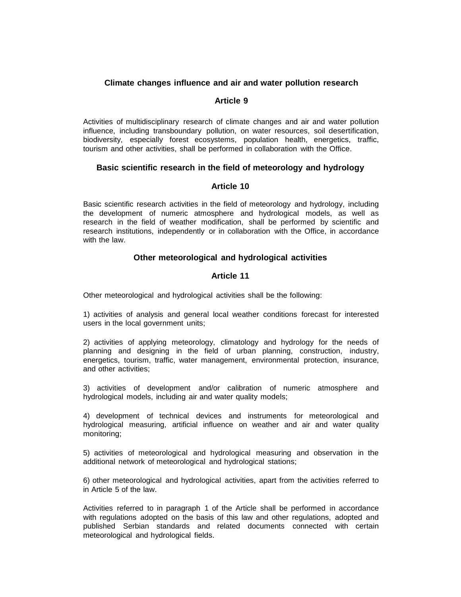# **Climate changes influence and air and water pollution research**

# **Article 9**

Activities of multidisciplinary research of climate changes and air and water pollution influence, including transboundary pollution, on water resources, soil desertification, biodiversity, especially forest ecosystems, population health, energetics, traffic, tourism and other activities, shall be performed in collaboration with the Office.

# **Basic scientific research in the field of meteorology and hydrology**

# **Article 10**

Basic scientific research activities in the field of meteorology and hydrology, including the development of numeric atmosphere and hydrological models, as well as research in the field of weather modification, shall be performed by scientific and research institutions, independently or in collaboration with the Office, in accordance with the law.

# **Other meteorological and hydrological activities**

# **Article 11**

Other meteorological and hydrological activities shall be the following:

1) activities of analysis and general local weather conditions forecast for interested users in the local government units;

2) activities of applying meteorology, climatology and hydrology for the needs of planning and designing in the field of urban planning, construction, industry, energetics, tourism, traffic, water management, environmental protection, insurance, and other activities;

3) activities of development and/or calibration of numeric atmosphere and hydrological models, including air and water quality models;

4) development of technical devices and instruments for meteorological and hydrological measuring, artificial influence on weather and air and water quality monitoring;

5) activities of meteorological and hydrological measuring and observation in the additional network of meteorological and hydrological stations;

6) other meteorological and hydrological activities, apart from the activities referred to in Article 5 of the law.

Activities referred to in paragraph 1 of the Article shall be performed in accordance with regulations adopted on the basis of this law and other regulations, adopted and published Serbian standards and related documents connected with certain meteorological and hydrological fields.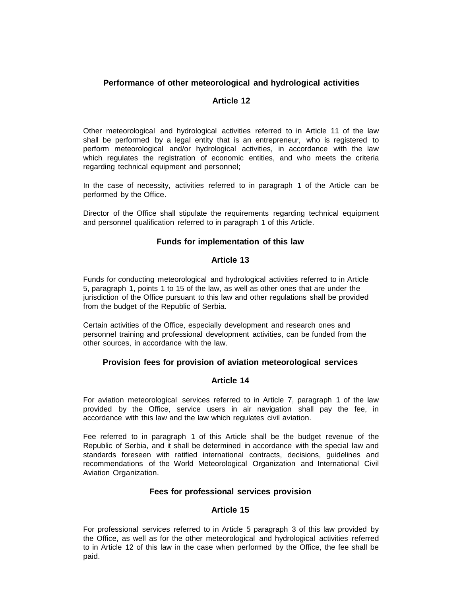# **Performance of other meteorological and hydrological activities**

# **Article 12**

Other meteorological and hydrological activities referred to in Article 11 of the law shall be performed by a legal entity that is an entrepreneur, who is registered to perform meteorological and/or hydrological activities, in accordance with the law which regulates the registration of economic entities, and who meets the criteria regarding technical equipment and personnel;

In the case of necessity, activities referred to in paragraph 1 of the Article can be performed by the Office.

Director of the Office shall stipulate the requirements regarding technical equipment and personnel qualification referred to in paragraph 1 of this Article.

# **Funds for implementation of this law**

# **Article 13**

Funds for conducting meteorological and hydrological activities referred to in Article 5, paragraph 1, points 1 to 15 of the law, as well as other ones that are under the jurisdiction of the Office pursuant to this law and other regulations shall be provided from the budget of the Republic of Serbia.

Certain activities of the Office, especially development and research ones and personnel training and professional development activities, can be funded from the other sources, in accordance with the law.

# **Provision fees for provision of aviation meteorological services**

# **Article 14**

For aviation meteorological services referred to in Article 7, paragraph 1 of the law provided by the Office, service users in air navigation shall pay the fee, in accordance with this law and the law which regulates civil aviation.

Fee referred to in paragraph 1 of this Article shall be the budget revenue of the Republic of Serbia, and it shall be determined in accordance with the special law and standards foreseen with ratified international contracts, decisions, guidelines and recommendations of the World Meteorological Organization and International Civil Aviation Organization.

# **Fees for professional services provision**

# **Article 15**

For professional services referred to in Article 5 paragraph 3 of this law provided by the Office, as well as for the other meteorological and hydrological activities referred to in Article 12 of this law in the case when performed by the Office, the fee shall be paid.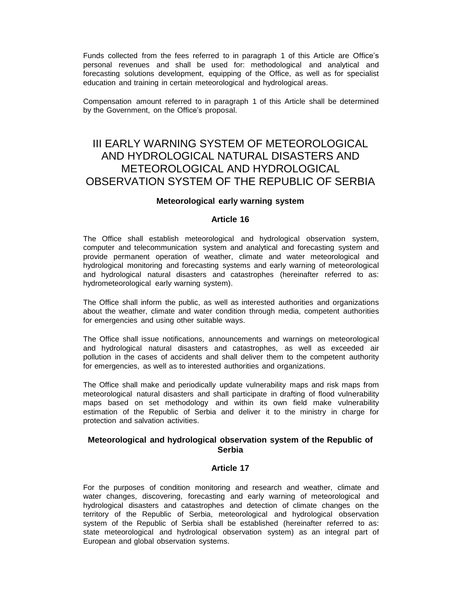Funds collected from the fees referred to in paragraph 1 of this Article are Office's personal revenues and shall be used for: methodological and analytical and forecasting solutions development, equipping of the Office, as well as for specialist education and training in certain meteorological and hydrological areas.

Compensation amount referred to in paragraph 1 of this Article shall be determined by the Government, on the Office's proposal.

# III EARLY WARNING SYSTEM OF METEOROLOGICAL AND HYDROLOGICAL NATURAL DISASTERS AND METEOROLOGICAL AND HYDROLOGICAL OBSERVATION SYSTEM OF THE REPUBLIC OF SERBIA

#### **Meteorological early warning system**

# **Article 16**

The Office shall establish meteorological and hydrological observation system, computer and telecommunication system and analytical and forecasting system and provide permanent operation of weather, climate and water meteorological and hydrological monitoring and forecasting systems and early warning of meteorological and hydrological natural disasters and catastrophes (hereinafter referred to as: hydrometeorological early warning system).

The Office shall inform the public, as well as interested authorities and organizations about the weather, climate and water condition through media, competent authorities for emergencies and using other suitable ways.

The Office shall issue notifications, announcements and warnings on meteorological and hydrological natural disasters and catastrophes, as well as exceeded air pollution in the cases of accidents and shall deliver them to the competent authority for emergencies, as well as to interested authorities and organizations.

The Office shall make and periodically update vulnerability maps and risk maps from meteorological natural disasters and shall participate in drafting of flood vulnerability maps based on set methodology and within its own field make vulnerability estimation of the Republic of Serbia and deliver it to the ministry in charge for protection and salvation activities.

# **Meteorological and hydrological observation system of the Republic of Serbia**

#### **Article 17**

For the purposes of condition monitoring and research and weather, climate and water changes, discovering, forecasting and early warning of meteorological and hydrological disasters and catastrophes and detection of climate changes on the territory of the Republic of Serbia, meteorological and hydrological observation system of the Republic of Serbia shall be established (hereinafter referred to as: state meteorological and hydrological observation system) as an integral part of European and global observation systems.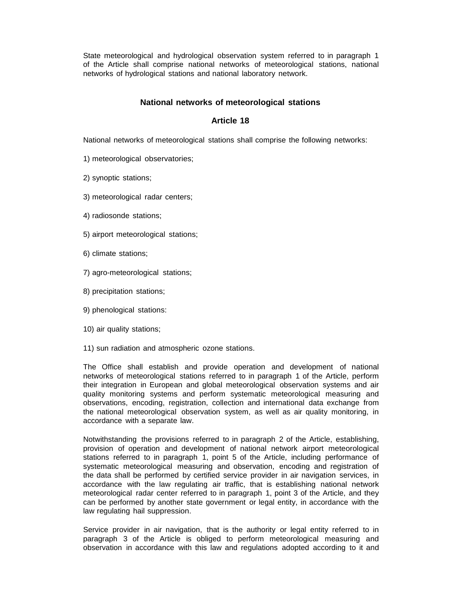State meteorological and hydrological observation system referred to in paragraph 1 of the Article shall comprise national networks of meteorological stations, national networks of hydrological stations and national laboratory network.

# **National networks of meteorological stations**

# **Article 18**

National networks of meteorological stations shall comprise the following networks:

- 1) meteorological observatories;
- 2) synoptic stations;
- 3) meteorological radar centers;
- 4) radiosonde stations;
- 5) airport meteorological stations;
- 6) climate stations;
- 7) agro-meteorological stations;
- 8) precipitation stations;
- 9) phenological stations:
- 10) air quality stations;
- 11) sun radiation and atmospheric ozone stations.

The Office shall establish and provide operation and development of national networks of meteorological stations referred to in paragraph 1 of the Article, perform their integration in European and global meteorological observation systems and air quality monitoring systems and perform systematic meteorological measuring and observations, encoding, registration, collection and international data exchange from the national meteorological observation system, as well as air quality monitoring, in accordance with a separate law.

Notwithstanding the provisions referred to in paragraph 2 of the Article, establishing, provision of operation and development of national network airport meteorological stations referred to in paragraph 1, point 5 of the Article, including performance of systematic meteorological measuring and observation, encoding and registration of the data shall be performed by certified service provider in air navigation services, in accordance with the law regulating air traffic, that is establishing national network meteorological radar center referred to in paragraph 1, point 3 of the Article, and they can be performed by another state government or legal entity, in accordance with the law regulating hail suppression.

Service provider in air navigation, that is the authority or legal entity referred to in paragraph 3 of the Article is obliged to perform meteorological measuring and observation in accordance with this law and regulations adopted according to it and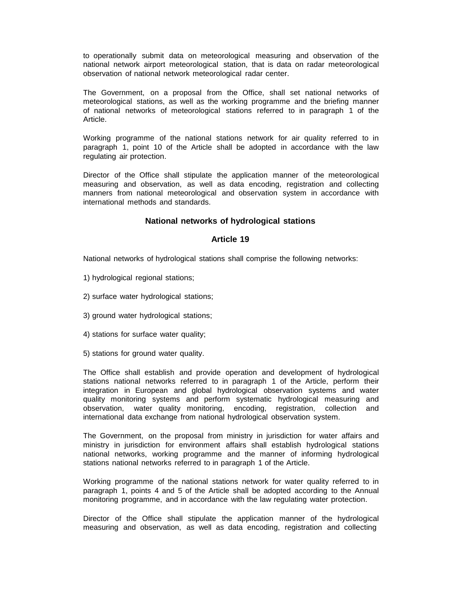to operationally submit data on meteorological measuring and observation of the national network airport meteorological station, that is data on radar meteorological observation of national network meteorological radar center.

The Government, on a proposal from the Office, shall set national networks of meteorological stations, as well as the working programme and the briefing manner of national networks of meteorological stations referred to in paragraph 1 of the Article.

Working programme of the national stations network for air quality referred to in paragraph 1, point 10 of the Article shall be adopted in accordance with the law regulating air protection.

Director of the Office shall stipulate the application manner of the meteorological measuring and observation, as well as data encoding, registration and collecting manners from national meteorological and observation system in accordance with international methods and standards.

# **National networks of hydrological stations**

# **Article 19**

National networks of hydrological stations shall comprise the following networks:

- 1) hydrological regional stations;
- 2) surface water hydrological stations;
- 3) ground water hydrological stations;
- 4) stations for surface water quality;
- 5) stations for ground water quality.

The Office shall establish and provide operation and development of hydrological stations national networks referred to in paragraph 1 of the Article, perform their integration in European and global hydrological observation systems and water quality monitoring systems and perform systematic hydrological measuring and observation, water quality monitoring, encoding, registration, collection and international data exchange from national hydrological observation system.

The Government, on the proposal from ministry in jurisdiction for water affairs and ministry in jurisdiction for environment affairs shall establish hydrological stations national networks, working programme and the manner of informing hydrological stations national networks referred to in paragraph 1 of the Article.

Working programme of the national stations network for water quality referred to in paragraph 1, points 4 and 5 of the Article shall be adopted according to the Annual monitoring programme, and in accordance with the law regulating water protection.

Director of the Office shall stipulate the application manner of the hydrological measuring and observation, as well as data encoding, registration and collecting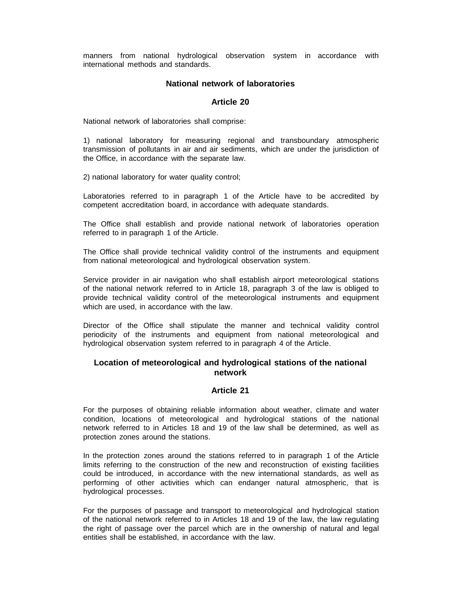manners from national hydrological observation system in accordance with international methods and standards.

# **National network of laboratories**

# **Article 20**

National network of laboratories shall comprise:

1) national laboratory for measuring regional and transboundary atmospheric transmission of pollutants in air and air sediments, which are under the jurisdiction of the Office, in accordance with the separate law.

2) national laboratory for water quality control;

Laboratories referred to in paragraph 1 of the Article have to be accredited by competent accreditation board, in accordance with adequate standards.

The Office shall establish and provide national network of laboratories operation referred to in paragraph 1 of the Article.

The Office shall provide technical validity control of the instruments and equipment from national meteorological and hydrological observation system.

Service provider in air navigation who shall establish airport meteorological stations of the national network referred to in Article 18, paragraph 3 of the law is obliged to provide technical validity control of the meteorological instruments and equipment which are used, in accordance with the law.

Director of the Office shall stipulate the manner and technical validity control periodicity of the instruments and equipment from national meteorological and hydrological observation system referred to in paragraph 4 of the Article.

# **Location of meteorological and hydrological stations of the national network**

# **Article 21**

For the purposes of obtaining reliable information about weather, climate and water condition, locations of meteorological and hydrological stations of the national network referred to in Articles 18 and 19 of the law shall be determined, as well as protection zones around the stations.

In the protection zones around the stations referred to in paragraph 1 of the Article limits referring to the construction of the new and reconstruction of existing facilities could be introduced, in accordance with the new international standards, as well as performing of other activities which can endanger natural atmospheric, that is hydrological processes.

For the purposes of passage and transport to meteorological and hydrological station of the national network referred to in Articles 18 and 19 of the law, the law regulating the right of passage over the parcel which are in the ownership of natural and legal entities shall be established, in accordance with the law.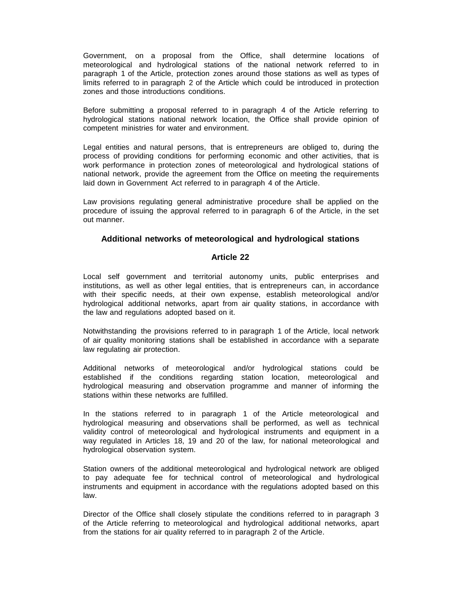Government, on a proposal from the Office, shall determine locations of meteorological and hydrological stations of the national network referred to in paragraph 1 of the Article, protection zones around those stations as well as types of limits referred to in paragraph 2 of the Article which could be introduced in protection zones and those introductions conditions.

Before submitting a proposal referred to in paragraph 4 of the Article referring to hydrological stations national network location, the Office shall provide opinion of competent ministries for water and environment.

Legal entities and natural persons, that is entrepreneurs are obliged to, during the process of providing conditions for performing economic and other activities, that is work performance in protection zones of meteorological and hydrological stations of national network, provide the agreement from the Office on meeting the requirements laid down in Government Act referred to in paragraph 4 of the Article.

Law provisions regulating general administrative procedure shall be applied on the procedure of issuing the approval referred to in paragraph 6 of the Article, in the set out manner.

#### **Additional networks of meteorological and hydrological stations**

# **Article 22**

Local self government and territorial autonomy units, public enterprises and institutions, as well as other legal entities, that is entrepreneurs can, in accordance with their specific needs, at their own expense, establish meteorological and/or hydrological additional networks, apart from air quality stations, in accordance with the law and regulations adopted based on it.

Notwithstanding the provisions referred to in paragraph 1 of the Article, local network of air quality monitoring stations shall be established in accordance with a separate law regulating air protection.

Additional networks of meteorological and/or hydrological stations could be established if the conditions regarding station location, meteorological and hydrological measuring and observation programme and manner of informing the stations within these networks are fulfilled.

In the stations referred to in paragraph 1 of the Article meteorological and hydrological measuring and observations shall be performed, as well as technical validity control of meteorological and hydrological instruments and equipment in a way regulated in Articles 18, 19 and 20 of the law, for national meteorological and hydrological observation system.

Station owners of the additional meteorological and hydrological network are obliged to pay adequate fee for technical control of meteorological and hydrological instruments and equipment in accordance with the regulations adopted based on this law.

Director of the Office shall closely stipulate the conditions referred to in paragraph 3 of the Article referring to meteorological and hydrological additional networks, apart from the stations for air quality referred to in paragraph 2 of the Article.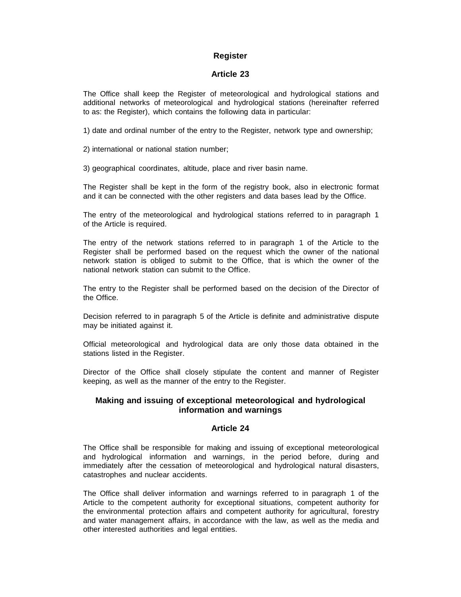# **Register**

# **Article 23**

The Office shall keep the Register of meteorological and hydrological stations and additional networks of meteorological and hydrological stations (hereinafter referred to as: the Register), which contains the following data in particular:

1) date and ordinal number of the entry to the Register, network type and ownership;

2) international or national station number;

3) geographical coordinates, altitude, place and river basin name.

The Register shall be kept in the form of the registry book, also in electronic format and it can be connected with the other registers and data bases lead by the Office.

The entry of the meteorological and hydrological stations referred to in paragraph 1 of the Article is required.

The entry of the network stations referred to in paragraph 1 of the Article to the Register shall be performed based on the request which the owner of the national network station is obliged to submit to the Office, that is which the owner of the national network station can submit to the Office.

The entry to the Register shall be performed based on the decision of the Director of the Office.

Decision referred to in paragraph 5 of the Article is definite and administrative dispute may be initiated against it.

Official meteorological and hydrological data are only those data obtained in the stations listed in the Register.

Director of the Office shall closely stipulate the content and manner of Register keeping, as well as the manner of the entry to the Register.

# **Making and issuing of exceptional meteorological and hydrological information and warnings**

#### **Article 24**

The Office shall be responsible for making and issuing of exceptional meteorological and hydrological information and warnings, in the period before, during and immediately after the cessation of meteorological and hydrological natural disasters, catastrophes and nuclear accidents.

The Office shall deliver information and warnings referred to in paragraph 1 of the Article to the competent authority for exceptional situations, competent authority for the environmental protection affairs and competent authority for agricultural, forestry and water management affairs, in accordance with the law, as well as the media and other interested authorities and legal entities.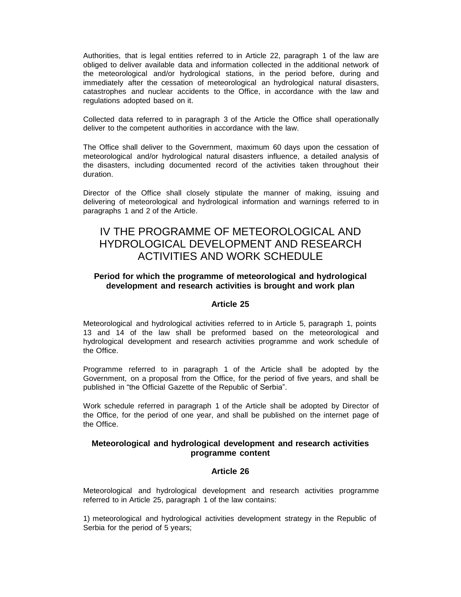Authorities, that is legal entities referred to in Article 22, paragraph 1 of the law are obliged to deliver available data and information collected in the additional network of the meteorological and/or hydrological stations, in the period before, during and immediately after the cessation of meteorological an hydrological natural disasters, catastrophes and nuclear accidents to the Office, in accordance with the law and regulations adopted based on it.

Collected data referred to in paragraph 3 of the Article the Office shall operationally deliver to the competent authorities in accordance with the law.

The Office shall deliver to the Government, maximum 60 days upon the cessation of meteorological and/or hydrological natural disasters influence, a detailed analysis of the disasters, including documented record of the activities taken throughout their duration.

Director of the Office shall closely stipulate the manner of making, issuing and delivering of meteorological and hydrological information and warnings referred to in paragraphs 1 and 2 of the Article.

# IV THE PROGRAMME OF METEOROLOGICAL AND HYDROLOGICAL DEVELOPMENT AND RESEARCH ACTIVITIES AND WORK SCHEDULE

# **Period for which the programme of meteorological and hydrological development and research activities is brought and work plan**

# **Article 25**

Meteorological and hydrological activities referred to in Article 5, paragraph 1, points 13 and 14 of the law shall be preformed based on the meteorological and hydrological development and research activities programme and work schedule of the Office.

Programme referred to in paragraph 1 of the Article shall be adopted by the Government, on a proposal from the Office, for the period of five years, and shall be published in "the Official Gazette of the Republic of Serbia".

Work schedule referred in paragraph 1 of the Article shall be adopted by Director of the Office, for the period of one year, and shall be published on the internet page of the Office.

# **Meteorological and hydrological development and research activities programme content**

#### **Article 26**

Meteorological and hydrological development and research activities programme referred to in Article 25, paragraph 1 of the law contains:

1) meteorological and hydrological activities development strategy in the Republic of Serbia for the period of 5 years;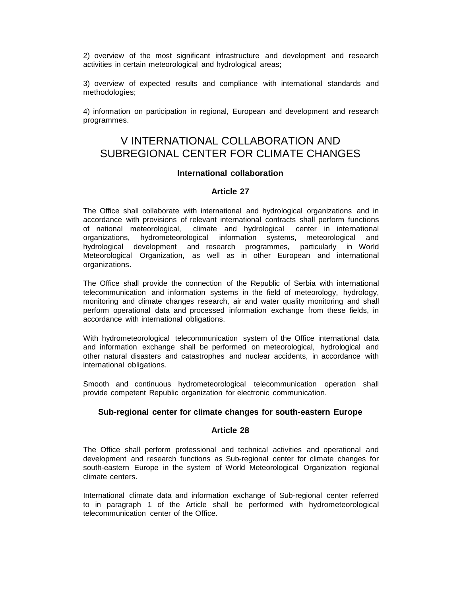2) overview of the most significant infrastructure and development and research activities in certain meteorological and hydrological areas;

3) overview of expected results and compliance with international standards and methodologies;

4) information on participation in regional, European and development and research programmes.

# V INTERNATIONAL COLLABORATION AND SUBREGIONAL CENTER FOR CLIMATE CHANGES

#### **International collaboration**

#### **Article 27**

The Office shall collaborate with international and hydrological organizations and in accordance with provisions of relevant international contracts shall perform functions of national meteorological, climate and hydrological center in international organizations, hydrometeorological information systems, meteorological and hydrological development and research programmes, particularly in World Meteorological Organization, as well as in other European and international organizations.

The Office shall provide the connection of the Republic of Serbia with international telecommunication and information systems in the field of meteorology, hydrology, monitoring and climate changes research, air and water quality monitoring and shall perform operational data and processed information exchange from these fields, in accordance with international obligations.

With hydrometeorological telecommunication system of the Office international data and information exchange shall be performed on meteorological, hydrological and other natural disasters and catastrophes and nuclear accidents, in accordance with international obligations.

Smooth and continuous hydrometeorological telecommunication operation shall provide competent Republic organization for electronic communication.

#### **Sub-regional center for climate changes for south-eastern Europe**

#### **Article 28**

The Office shall perform professional and technical activities and operational and development and research functions as Sub-regional center for climate changes for south-eastern Europe in the system of World Meteorological Organization regional climate centers.

International climate data and information exchange of Sub-regional center referred to in paragraph 1 of the Article shall be performed with hydrometeorological telecommunication center of the Office.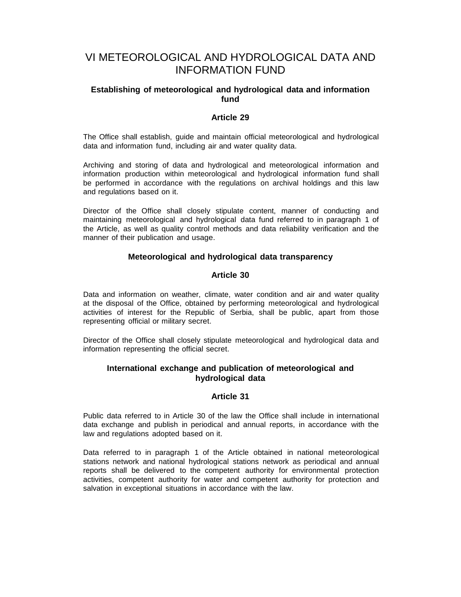# VI METEOROLOGICAL AND HYDROLOGICAL DATA AND INFORMATION FUND

# **Establishing of meteorological and hydrological data and information fund**

# **Article 29**

The Office shall establish, guide and maintain official meteorological and hydrological data and information fund, including air and water quality data.

Archiving and storing of data and hydrological and meteorological information and information production within meteorological and hydrological information fund shall be performed in accordance with the regulations on archival holdings and this law and regulations based on it.

Director of the Office shall closely stipulate content, manner of conducting and maintaining meteorological and hydrological data fund referred to in paragraph 1 of the Article, as well as quality control methods and data reliability verification and the manner of their publication and usage.

# **Meteorological and hydrological data transparency**

#### **Article 30**

Data and information on weather, climate, water condition and air and water quality at the disposal of the Office, obtained by performing meteorological and hydrological activities of interest for the Republic of Serbia, shall be public, apart from those representing official or military secret.

Director of the Office shall closely stipulate meteorological and hydrological data and information representing the official secret.

# **International exchange and publication of meteorological and hydrological data**

#### **Article 31**

Public data referred to in Article 30 of the law the Office shall include in international data exchange and publish in periodical and annual reports, in accordance with the law and regulations adopted based on it.

Data referred to in paragraph 1 of the Article obtained in national meteorological stations network and national hydrological stations network as periodical and annual reports shall be delivered to the competent authority for environmental protection activities, competent authority for water and competent authority for protection and salvation in exceptional situations in accordance with the law.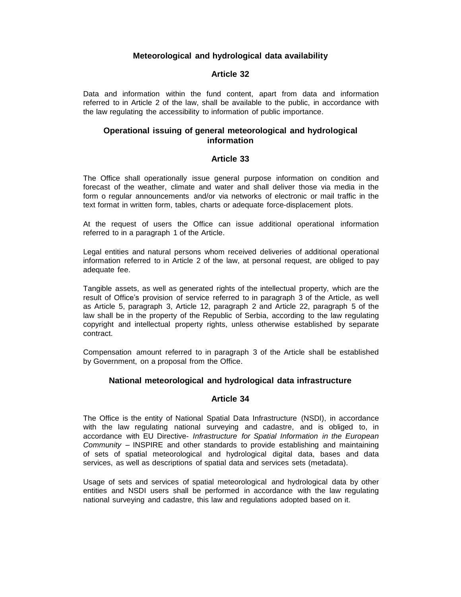# **Meteorological and hydrological data availability**

# **Article 32**

Data and information within the fund content, apart from data and information referred to in Article 2 of the law, shall be available to the public, in accordance with the law regulating the accessibility to information of public importance.

# **Operational issuing of general meteorological and hydrological information**

# **Article 33**

The Office shall operationally issue general purpose information on condition and forecast of the weather, climate and water and shall deliver those via media in the form o regular announcements and/or via networks of electronic or mail traffic in the text format in written form, tables, charts or adequate force-displacement plots.

At the request of users the Office can issue additional operational information referred to in a paragraph 1 of the Article.

Legal entities and natural persons whom received deliveries of additional operational information referred to in Article 2 of the law, at personal request, are obliged to pay adequate fee.

Tangible assets, as well as generated rights of the intellectual property, which are the result of Office's provision of service referred to in paragraph 3 of the Article, as well as Article 5, paragraph 3, Article 12, paragraph 2 and Article 22, paragraph 5 of the law shall be in the property of the Republic of Serbia, according to the law regulating copyright and intellectual property rights, unless otherwise established by separate contract.

Compensation amount referred to in paragraph 3 of the Article shall be established by Government, on a proposal from the Office.

#### **National meteorological and hydrological data infrastructure**

#### **Article 34**

The Office is the entity of National Spatial Data Infrastructure (NSDI), in accordance with the law regulating national surveying and cadastre, and is obliged to, in accordance with EU Directive- *Infrastructure for Spatial Information in the European Community* – INSPIRE and other standards to provide establishing and maintaining of sets of spatial meteorological and hydrological digital data, bases and data services, as well as descriptions of spatial data and services sets (metadata).

Usage of sets and services of spatial meteorological and hydrological data by other entities and NSDI users shall be performed in accordance with the law regulating national surveying and cadastre, this law and regulations adopted based on it.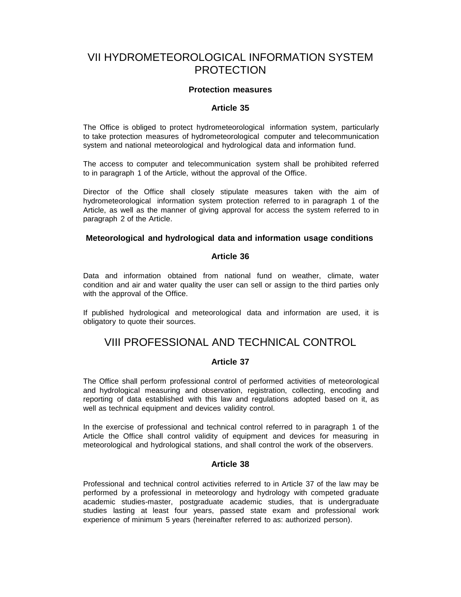# VII HYDROMETEOROLOGICAL INFORMATION SYSTEM PROTECTION

# **Protection measures**

# **Article 35**

The Office is obliged to protect hydrometeorological information system, particularly to take protection measures of hydrometeorological computer and telecommunication system and national meteorological and hydrological data and information fund.

The access to computer and telecommunication system shall be prohibited referred to in paragraph 1 of the Article, without the approval of the Office.

Director of the Office shall closely stipulate measures taken with the aim of hydrometeorological information system protection referred to in paragraph 1 of the Article, as well as the manner of giving approval for access the system referred to in paragraph 2 of the Article.

#### **Meteorological and hydrological data and information usage conditions**

# **Article 36**

Data and information obtained from national fund on weather, climate, water condition and air and water quality the user can sell or assign to the third parties only with the approval of the Office.

If published hydrological and meteorological data and information are used, it is obligatory to quote their sources.

# VIII PROFESSIONAL AND TECHNICAL CONTROL

#### **Article 37**

The Office shall perform professional control of performed activities of meteorological and hydrological measuring and observation, registration, collecting, encoding and reporting of data established with this law and regulations adopted based on it, as well as technical equipment and devices validity control.

In the exercise of professional and technical control referred to in paragraph 1 of the Article the Office shall control validity of equipment and devices for measuring in meteorological and hydrological stations, and shall control the work of the observers.

#### **Article 38**

Professional and technical control activities referred to in Article 37 of the law may be performed by a professional in meteorology and hydrology with competed graduate academic studies-master, postgraduate academic studies, that is undergraduate studies lasting at least four years, passed state exam and professional work experience of minimum 5 years (hereinafter referred to as: authorized person).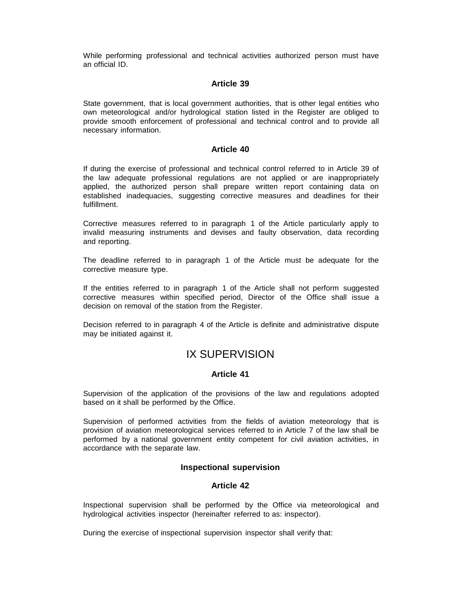While performing professional and technical activities authorized person must have an official ID.

#### **Article 39**

State government, that is local government authorities, that is other legal entities who own meteorological and/or hydrological station listed in the Register are obliged to provide smooth enforcement of professional and technical control and to provide all necessary information.

# **Article 40**

If during the exercise of professional and technical control referred to in Article 39 of the law adequate professional regulations are not applied or are inappropriately applied, the authorized person shall prepare written report containing data on established inadequacies, suggesting corrective measures and deadlines for their fulfillment.

Corrective measures referred to in paragraph 1 of the Article particularly apply to invalid measuring instruments and devises and faulty observation, data recording and reporting.

The deadline referred to in paragraph 1 of the Article must be adequate for the corrective measure type.

If the entities referred to in paragraph 1 of the Article shall not perform suggested corrective measures within specified period, Director of the Office shall issue a decision on removal of the station from the Register.

Decision referred to in paragraph 4 of the Article is definite and administrative dispute may be initiated against it.

# IX SUPERVISION

#### **Article 41**

Supervision of the application of the provisions of the law and regulations adopted based on it shall be performed by the Office.

Supervision of performed activities from the fields of aviation meteorology that is provision of aviation meteorological services referred to in Article 7 of the law shall be performed by a national government entity competent for civil aviation activities, in accordance with the separate law.

#### **Inspectional supervision**

#### **Article 42**

Inspectional supervision shall be performed by the Office via meteorological and hydrological activities inspector (hereinafter referred to as: inspector).

During the exercise of inspectional supervision inspector shall verify that: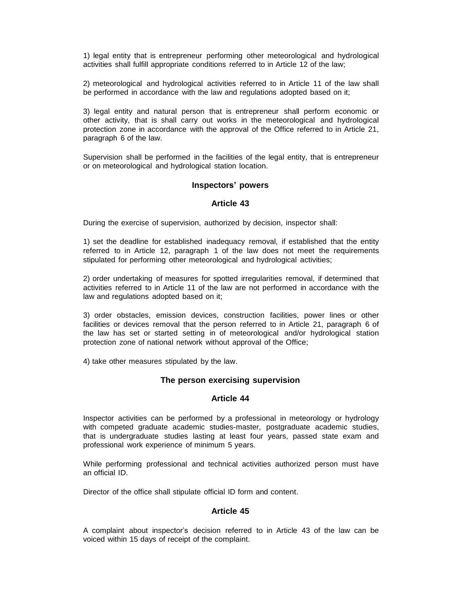1) legal entity that is entrepreneur performing other meteorological and hydrological activities shall fulfill appropriate conditions referred to in Article 12 of the law;

2) meteorological and hydrological activities referred to in Article 11 of the law shall be performed in accordance with the law and regulations adopted based on it;

3) legal entity and natural person that is entrepreneur shall perform economic or other activity, that is shall carry out works in the meteorological and hydrological protection zone in accordance with the approval of the Office referred to in Article 21, paragraph 6 of the law.

Supervision shall be performed in the facilities of the legal entity, that is entrepreneur or on meteorological and hydrological station location.

#### **Inspectors' powers**

#### **Article 43**

During the exercise of supervision, authorized by decision, inspector shall:

1) set the deadline for established inadequacy removal, if established that the entity referred to in Article 12, paragraph 1 of the law does not meet the requirements stipulated for performing other meteorological and hydrological activities;

2) order undertaking of measures for spotted irregularities removal, if determined that activities referred to in Article 11 of the law are not performed in accordance with the law and regulations adopted based on it;

3) order obstacles, emission devices, construction facilities, power lines or other facilities or devices removal that the person referred to in Article 21, paragraph 6 of the law has set or started setting in of meteorological and/or hydrological station protection zone of national network without approval of the Office;

4) take other measures stipulated by the law.

#### **The person exercising supervision**

# **Article 44**

Inspector activities can be performed by a professional in meteorology or hydrology with competed graduate academic studies-master, postgraduate academic studies, that is undergraduate studies lasting at least four years, passed state exam and professional work experience of minimum 5 years.

While performing professional and technical activities authorized person must have an official ID.

Director of the office shall stipulate official ID form and content.

# **Article 45**

A complaint about inspector's decision referred to in Article 43 of the law can be voiced within 15 days of receipt of the complaint.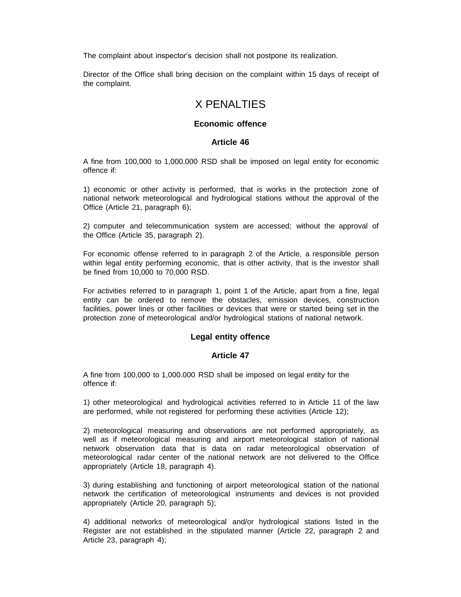The complaint about inspector's decision shall not postpone its realization.

Director of the Office shall bring decision on the complaint within 15 days of receipt of the complaint.

# X PENALTIES

# **Economic offence**

#### **Article 46**

A fine from 100,000 to 1,000.000 RSD shall be imposed on legal entity for economic offence if:

1) economic or other activity is performed, that is works in the protection zone of national network meteorological and hydrological stations without the approval of the Office (Article 21, paragraph 6);

2) computer and telecommunication system are accessed; without the approval of the Office (Article 35, paragraph 2).

For economic offense referred to in paragraph 2 of the Article, a responsible person within legal entity performing economic, that is other activity, that is the investor shall be fined from 10,000 to 70,000 RSD.

For activities referred to in paragraph 1, point 1 of the Article, apart from a fine, legal entity can be ordered to remove the obstacles, emission devices, construction facilities, power lines or other facilities or devices that were or started being set in the protection zone of meteorological and/or hydrological stations of national network.

# **Legal entity offence**

#### **Article 47**

A fine from 100,000 to 1,000.000 RSD shall be imposed on legal entity for the offence if:

1) other meteorological and hydrological activities referred to in Article 11 of the law are performed, while not registered for performing these activities (Article 12);

2) meteorological measuring and observations are not performed appropriately, as well as if meteorological measuring and airport meteorological station of national network observation data that is data on radar meteorological observation of meteorological radar center of the national network are not delivered to the Office appropriately (Article 18, paragraph 4).

3) during establishing and functioning of airport meteorological station of the national network the certification of meteorological instruments and devices is not provided appropriately (Article 20, paragraph 5);

4) additional networks of meteorological and/or hydrological stations listed in the Register are not established in the stipulated manner (Article 22, paragraph 2 and Article 23, paragraph 4);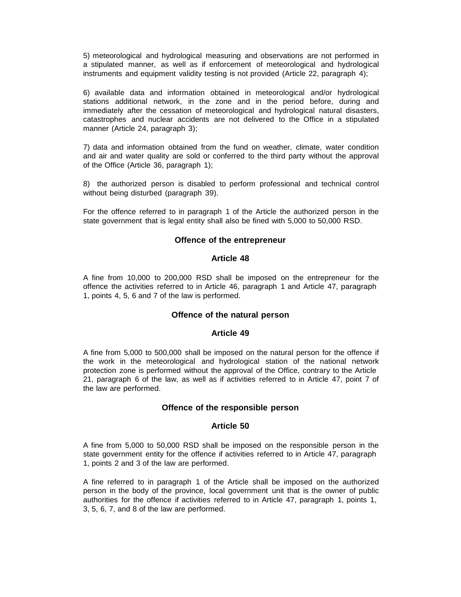5) meteorological and hydrological measuring and observations are not performed in a stipulated manner, as well as if enforcement of meteorological and hydrological instruments and equipment validity testing is not provided (Article 22, paragraph 4);

6) available data and information obtained in meteorological and/or hydrological stations additional network, in the zone and in the period before, during and immediately after the cessation of meteorological and hydrological natural disasters, catastrophes and nuclear accidents are not delivered to the Office in a stipulated manner (Article 24, paragraph 3);

7) data and information obtained from the fund on weather, climate, water condition and air and water quality are sold or conferred to the third party without the approval of the Office (Article 36, paragraph 1);

8) the authorized person is disabled to perform professional and technical control without being disturbed (paragraph 39).

For the offence referred to in paragraph 1 of the Article the authorized person in the state government that is legal entity shall also be fined with 5,000 to 50,000 RSD.

# **Offence of the entrepreneur**

#### **Article 48**

A fine from 10,000 to 200,000 RSD shall be imposed on the entrepreneur for the offence the activities referred to in Article 46, paragraph 1 and Article 47, paragraph 1, points 4, 5, 6 and 7 of the law is performed.

#### **Offence of the natural person**

#### **Article 49**

A fine from 5,000 to 500,000 shall be imposed on the natural person for the offence if the work in the meteorological and hydrological station of the national network protection zone is performed without the approval of the Office, contrary to the Article 21, paragraph 6 of the law, as well as if activities referred to in Article 47, point 7 of the law are performed.

#### **Offence of the responsible person**

#### **Article 50**

A fine from 5,000 to 50,000 RSD shall be imposed on the responsible person in the state government entity for the offence if activities referred to in Article 47, paragraph 1, points 2 and 3 of the law are performed.

A fine referred to in paragraph 1 of the Article shall be imposed on the authorized person in the body of the province, local government unit that is the owner of public authorities for the offence if activities referred to in Article 47, paragraph 1, points 1, 3, 5, 6, 7, and 8 of the law are performed.